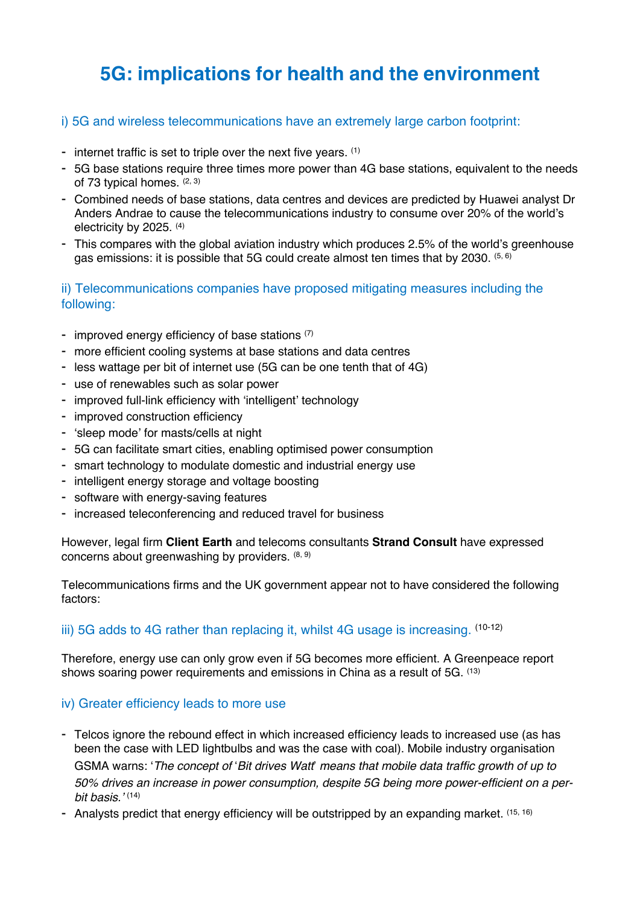# **5G: implications for health and the environment**

#### i) 5G and wireless telecommunications have an extremely large carbon footprint:

- internet traffic is set to triple over the next five years. (1)
- 5G base stations require three times more power than 4G base stations, equivalent to the needs of 73 typical homes. (2, 3)
- Combined needs of base stations, data centres and devices are predicted by Huawei analyst Dr Anders Andrae to cause the telecommunications industry to consume over 20% of the world's electricity by 2025. (4)
- This compares with the global aviation industry which produces 2.5% of the world's greenhouse gas emissions: it is possible that 5G could create almost ten times that by 2030. (5, 6)

#### ii) Telecommunications companies have proposed mitigating measures including the following:

- improved energy efficiency of base stations  $(7)$
- more efficient cooling systems at base stations and data centres
- less wattage per bit of internet use (5G can be one tenth that of 4G)
- use of renewables such as solar power
- improved full-link efficiency with 'intelligent' technology
- improved construction efficiency
- 'sleep mode' for masts/cells at night
- 5G can facilitate smart cities, enabling optimised power consumption
- smart technology to modulate domestic and industrial energy use
- intelligent energy storage and voltage boosting
- software with energy-saving features
- increased teleconferencing and reduced travel for business

However, legal firm **Client Earth** and telecoms consultants **Strand Consult** have expressed concerns about greenwashing by providers. (8, 9)

Telecommunications firms and the UK government appear not to have considered the following factors:

#### iii) 5G adds to 4G rather than replacing it, whilst 4G usage is increasing. (10-12)

Therefore, energy use can only grow even if 5G becomes more efficient. A Greenpeace report shows soaring power requirements and emissions in China as a result of 5G. (13)

#### iv) Greater efficiency leads to more use

- Telcos ignore the rebound effect in which increased efficiency leads to increased use (as has been the case with LED lightbulbs and was the case with coal). Mobile industry organisation GSMA warns: '*The concept of* !*Bit drives Watt*" *means that mobile data traffic growth of up to 50% drives an increase in power consumption, despite 5G being more power-efficient on a perbit basis.'* (14)
- Analysts predict that energy efficiency will be outstripped by an expanding market. (15, 16)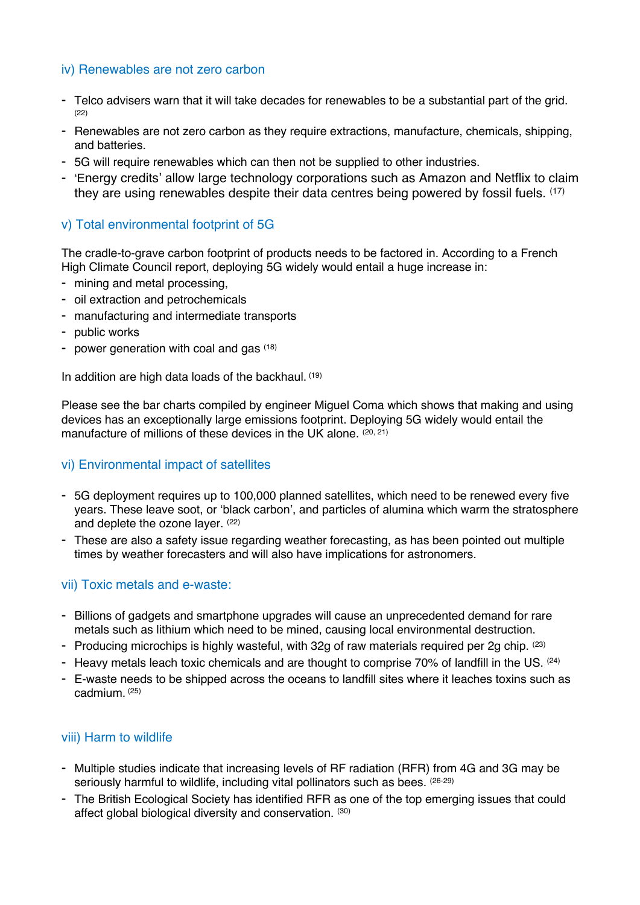### iv) Renewables are not zero carbon

- Telco advisers warn that it will take decades for renewables to be a substantial part of the grid. (22)
- Renewables are not zero carbon as they require extractions, manufacture, chemicals, shipping, and batteries.
- 5G will require renewables which can then not be supplied to other industries.
- 'Energy credits' allow large technology corporations such as Amazon and Netflix to claim they are using renewables despite their data centres being powered by fossil fuels.  $(17)$

### v) Total environmental footprint of 5G

The cradle-to-grave carbon footprint of products needs to be factored in. According to a French High Climate Council report, deploying 5G widely would entail a huge increase in:

- mining and metal processing,
- oil extraction and petrochemicals
- manufacturing and intermediate transports
- public works
- power generation with coal and gas  $(18)$

In addition are high data loads of the backhaul. (19)

Please see the bar charts compiled by engineer Miguel Coma which shows that making and using devices has an exceptionally large emissions footprint. Deploying 5G widely would entail the manufacture of millions of these devices in the UK alone. (20, 21)

#### vi) Environmental impact of satellites

- 5G deployment requires up to 100,000 planned satellites, which need to be renewed every five years. These leave soot, or 'black carbon', and particles of alumina which warm the stratosphere and deplete the ozone layer. (22)
- These are also a safety issue regarding weather forecasting, as has been pointed out multiple times by weather forecasters and will also have implications for astronomers.

#### vii) Toxic metals and e-waste:

- Billions of gadgets and smartphone upgrades will cause an unprecedented demand for rare metals such as lithium which need to be mined, causing local environmental destruction.
- Producing microchips is highly wasteful, with 32g of raw materials required per 2g chip. (23)
- Heavy metals leach toxic chemicals and are thought to comprise 70% of landfill in the US. (24)
- E-waste needs to be shipped across the oceans to landfill sites where it leaches toxins such as cadmium. (25)

#### viii) Harm to wildlife

- Multiple studies indicate that increasing levels of RF radiation (RFR) from 4G and 3G may be seriously harmful to wildlife, including vital pollinators such as bees. (26-29)
- The British Ecological Society has identified RFR as one of the top emerging issues that could affect global biological diversity and conservation. (30)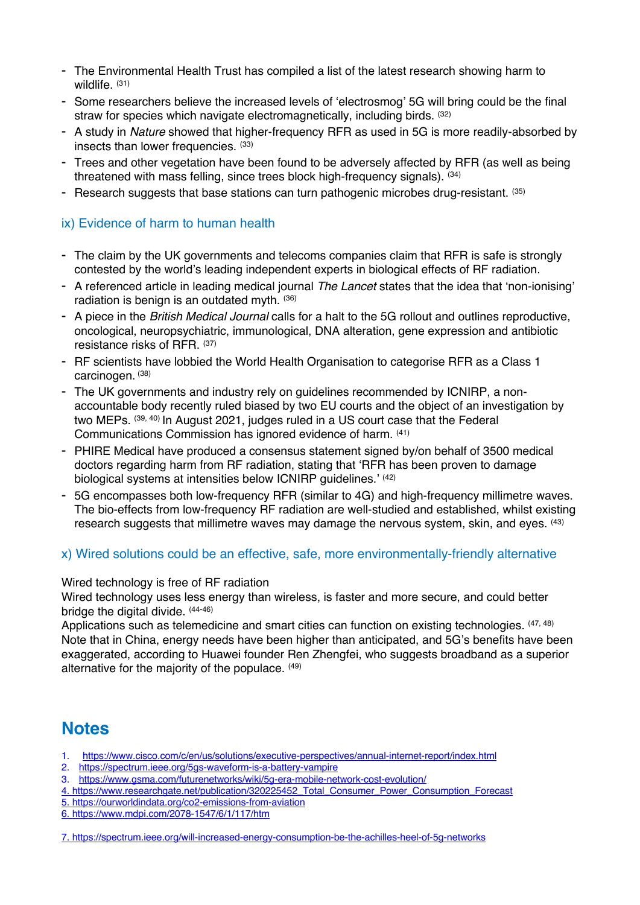- The Environmental Health Trust has compiled a list of the latest research showing harm to wildlife. (31)
- Some researchers believe the increased levels of 'electrosmog' 5G will bring could be the final straw for species which navigate electromagnetically, including birds. (32)
- A study in *Nature* showed that higher-frequency RFR as used in 5G is more readily-absorbed by insects than lower frequencies. (33)
- Trees and other vegetation have been found to be adversely affected by RFR (as well as being threatened with mass felling, since trees block high-frequency signals). (34)
- Research suggests that base stations can turn pathogenic microbes drug-resistant. (35)

#### ix) Evidence of harm to human health

- The claim by the UK governments and telecoms companies claim that RFR is safe is strongly contested by the world's leading independent experts in biological effects of RF radiation.
- A referenced article in leading medical journal *The Lancet* states that the idea that 'non-ionising' radiation is benign is an outdated myth. (36)
- A piece in the *British Medical Journal* calls for a halt to the 5G rollout and outlines reproductive, oncological, neuropsychiatric, immunological, DNA alteration, gene expression and antibiotic resistance risks of RFR. (37)
- RF scientists have lobbied the World Health Organisation to categorise RFR as a Class 1 carcinogen. (38)
- The UK governments and industry rely on guidelines recommended by ICNIRP, a nonaccountable body recently ruled biased by two EU courts and the object of an investigation by two MEPs. (39, 40) In August 2021, judges ruled in a US court case that the Federal Communications Commission has ignored evidence of harm. (41)
- PHIRE Medical have produced a consensus statement signed by/on behalf of 3500 medical doctors regarding harm from RF radiation, stating that 'RFR has been proven to damage biological systems at intensities below ICNIRP guidelines.' (42)
- 5G encompasses both low-frequency RFR (similar to 4G) and high-frequency millimetre waves. The bio-effects from low-frequency RF radiation are well-studied and established, whilst existing research suggests that millimetre waves may damage the nervous system, skin, and eyes. <sup>(43)</sup>

#### x) Wired solutions could be an effective, safe, more environmentally-friendly alternative

Wired technology is free of RF radiation

Wired technology uses less energy than wireless, is faster and more secure, and could better bridge the digital divide. (44-46)

Applications such as telemedicine and smart cities can function on existing technologies. (47, 48) Note that in China, energy needs have been higher than anticipated, and 5G's benefits have been exaggerated, according to Huawei founder Ren Zhengfei, who suggests broadband as a superior alternative for the majority of the populace. (49)

## **Notes**

- 1. https://www.cisco.com/c/en/us/solutions/executive-perspectives/annual-internet-report/index.html
- 2. https://spectrum.ieee.org/5gs-waveform-is-a-battery-vampire
- 3. https://www.gsma.com/futurenetworks/wiki/5g-era-mobile-network-cost-evolution/
- 4. https://www.researchgate.net/publication/320225452\_Total\_Consumer\_Power\_Consumption\_Forecast
- 5. https://ourworldindata.org/co2-emissions-from-aviation
- 6. https://www.mdpi.com/2078-1547/6/1/117/htm

<sup>7.</sup> https://spectrum.ieee.org/will-increased-energy-consumption-be-the-achilles-heel-of-5g-networks